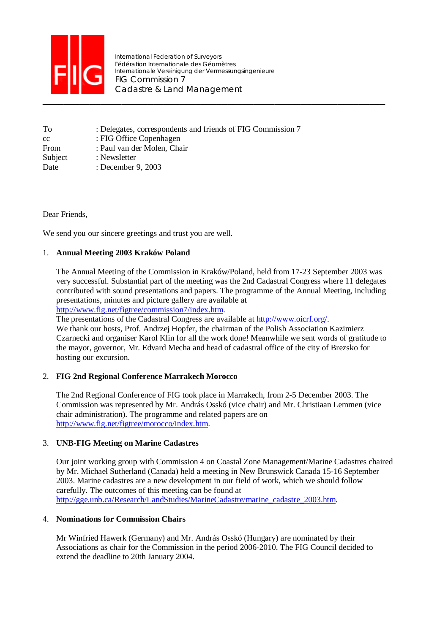

International Federation of Surveyors Fédération Internationale des Géomètres Internationale Vereinigung der Vermessungsingenieure FIG Commission 7 Cadastre & Land Management

| To      | : Delegates, correspondents and friends of FIG Commission 7 |
|---------|-------------------------------------------------------------|
| cc      | : FIG Office Copenhagen                                     |
| From    | : Paul van der Molen, Chair                                 |
| Subject | : Newsletter                                                |
| Date    | : December 9, 2003                                          |

# Dear Friends,

We send you our sincere greetings and trust you are well.

# 1. **Annual Meeting 2003 Kraków Poland**

The Annual Meeting of the Commission in Kraków/Poland, held from 17-23 September 2003 was very successful. Substantial part of the meeting was the 2nd Cadastral Congress where 11 delegates contributed with sound presentations and papers. The programme of the Annual Meeting, including presentations, minutes and picture gallery are available at

http://www.fig.net/figtree/commission7/index.htm.

The presentations of the Cadastral Congress are available at http://www.oicrf.org/.

We thank our hosts, Prof. Andrzej Hopfer, the chairman of the Polish Association Kazimierz Czarnecki and organiser Karol Klin for all the work done! Meanwhile we sent words of gratitude to the mayor, governor, Mr. Edvard Mecha and head of cadastral office of the city of Brezsko for hosting our excursion.

# 2. **FIG 2nd Regional Conference Marrakech Morocco**

The 2nd Regional Conference of FIG took place in Marrakech, from 2-5 December 2003. The Commission was represented by Mr. András Osskó (vice chair) and Mr. Christiaan Lemmen (vice chair administration). The programme and related papers are on http://www.fig.net/figtree/morocco/index.htm.

# 3. **UNB-FIG Meeting on Marine Cadastres**

Our joint working group with Commission 4 on Coastal Zone Management/Marine Cadastres chaired by Mr. Michael Sutherland (Canada) held a meeting in New Brunswick Canada 15-16 September 2003. Marine cadastres are a new development in our field of work, which we should follow carefully. The outcomes of this meeting can be found at http://gge.unb.ca/Research/LandStudies/MarineCadastre/marine\_cadastre\_2003.htm.

# 4. **Nominations for Commission Chairs**

Mr Winfried Hawerk (Germany) and Mr. András Osskó (Hungary) are nominated by their Associations as chair for the Commission in the period 2006-2010. The FIG Council decided to extend the deadline to 20th January 2004.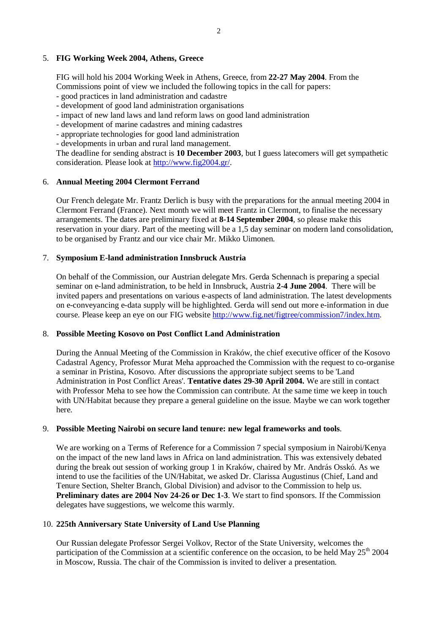### 5. **FIG Working Week 2004, Athens, Greece**

FIG will hold his 2004 Working Week in Athens, Greece, from **22-27 May 2004**. From the Commissions point of view we included the following topics in the call for papers:

- good practices in land administration and cadastre
- development of good land administration organisations
- impact of new land laws and land reform laws on good land administration
- development of marine cadastres and mining cadastres
- appropriate technologies for good land administration

- developments in urban and rural land management.

The deadline for sending abstract is **10 December 2003**, but I guess latecomers will get sympathetic consideration. Please look at http://www.fig2004.gr/.

### 6. **Annual Meeting 2004 Clermont Ferrand**

Our French delegate Mr. Frantz Derlich is busy with the preparations for the annual meeting 2004 in Clermont Ferrand (France). Next month we will meet Frantz in Clermont, to finalise the necessary arrangements. The dates are preliminary fixed at **8-14 September 2004**, so please make this reservation in your diary. Part of the meeting will be a 1,5 day seminar on modern land consolidation, to be organised by Frantz and our vice chair Mr. Mikko Uimonen.

### 7. **Symposium E-land administration Innsbruck Austria**

On behalf of the Commission, our Austrian delegate Mrs. Gerda Schennach is preparing a special seminar on e-land administration, to be held in Innsbruck, Austria **2-4 June 2004**. There will be invited papers and presentations on various e-aspects of land administration. The latest developments on e-conveyancing e-data supply will be highlighted. Gerda will send out more e-information in due course. Please keep an eye on our FIG website http://www.fig.net/figtree/commission7/index.htm.

# 8. **Possible Meeting Kosovo on Post Conflict Land Administration**

During the Annual Meeting of the Commission in Kraków, the chief executive officer of the Kosovo Cadastral Agency, Professor Murat Meha approached the Commission with the request to co-organise a seminar in Pristina, Kosovo. After discussions the appropriate subject seems to be 'Land Administration in Post Conflict Areas'. **Tentative dates 29-30 April 2004.** We are still in contact with Professor Meha to see how the Commission can contribute. At the same time we keep in touch with UN/Habitat because they prepare a general guideline on the issue. Maybe we can work together here.

### 9. **Possible Meeting Nairobi on secure land tenure: new legal frameworks and tools**.

We are working on a Terms of Reference for a Commission 7 special symposium in Nairobi/Kenya on the impact of the new land laws in Africa on land administration. This was extensively debated during the break out session of working group 1 in Kraków, chaired by Mr. András Osskó. As we intend to use the facilities of the UN/Habitat, we asked Dr. Clarissa Augustinus (Chief, Land and Tenure Section, Shelter Branch, Global Division) and advisor to the Commission to help us. **Preliminary dates are 2004 Nov 24-26 or Dec 1-3**. We start to find sponsors. If the Commission delegates have suggestions, we welcome this warmly.

### 10. **225th Anniversary State University of Land Use Planning**

Our Russian delegate Professor Sergei Volkov, Rector of the State University, welcomes the participation of the Commission at a scientific conference on the occasion, to be held May  $25<sup>th</sup> 2004$ in Moscow, Russia. The chair of the Commission is invited to deliver a presentation.